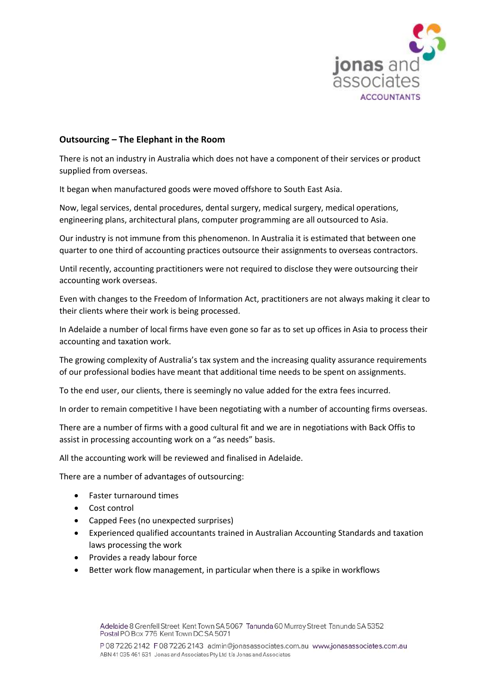

## **Outsourcing – The Elephant in the Room**

There is not an industry in Australia which does not have a component of their services or product supplied from overseas.

It began when manufactured goods were moved offshore to South East Asia.

Now, legal services, dental procedures, dental surgery, medical surgery, medical operations, engineering plans, architectural plans, computer programming are all outsourced to Asia.

Our industry is not immune from this phenomenon. In Australia it is estimated that between one quarter to one third of accounting practices outsource their assignments to overseas contractors.

Until recently, accounting practitioners were not required to disclose they were outsourcing their accounting work overseas.

Even with changes to the Freedom of Information Act, practitioners are not always making it clear to their clients where their work is being processed.

In Adelaide a number of local firms have even gone so far as to set up offices in Asia to process their accounting and taxation work.

The growing complexity of Australia's tax system and the increasing quality assurance requirements of our professional bodies have meant that additional time needs to be spent on assignments.

To the end user, our clients, there is seemingly no value added for the extra fees incurred.

In order to remain competitive I have been negotiating with a number of accounting firms overseas.

There are a number of firms with a good cultural fit and we are in negotiations with Back Offis to assist in processing accounting work on a "as needs" basis.

All the accounting work will be reviewed and finalised in Adelaide.

There are a number of advantages of outsourcing:

- Faster turnaround times
- Cost control
- Capped Fees (no unexpected surprises)
- Experienced qualified accountants trained in Australian Accounting Standards and taxation laws processing the work
- Provides a ready labour force
- Better work flow management, in particular when there is a spike in workflows